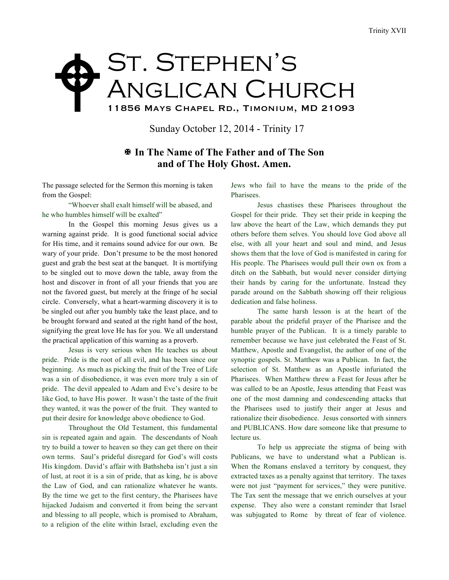## ST. STEPHEN'S Anglican Church 11856 Mays Chapel Rd., Timonium, MD 21093  $\blacklozenge$

Sunday October 12, 2014 - Trinity 17

## X **In The Name of The Father and of The Son and of The Holy Ghost. Amen.**

The passage selected for the Sermon this morning is taken from the Gospel:

"Whoever shall exalt himself will be abased, and he who humbles himself will be exalted"

In the Gospel this morning Jesus gives us a warning against pride. It is good functional social advice for His time, and it remains sound advice for our own. Be wary of your pride. Don't presume to be the most honored guest and grab the best seat at the banquet. It is mortifying to be singled out to move down the table, away from the host and discover in front of all your friends that you are not the favored guest, but merely at the fringe of he social circle. Conversely, what a heart-warming discovery it is to be singled out after you humbly take the least place, and to be brought forward and seated at the right hand of the host, signifying the great love He has for you. We all understand the practical application of this warning as a proverb.

Jesus is very serious when He teaches us about pride. Pride is the root of all evil, and has been since our beginning. As much as picking the fruit of the Tree of Life was a sin of disobedience, it was even more truly a sin of pride. The devil appealed to Adam and Eve's desire to be like God, to have His power. It wasn't the taste of the fruit they wanted, it was the power of the fruit. They wanted to put their desire for knowledge above obedience to God.

Throughout the Old Testament, this fundamental sin is repeated again and again. The descendants of Noah try to build a tower to heaven so they can get there on their own terms. Saul's prideful disregard for God's will costs His kingdom. David's affair with Bathsheba isn't just a sin of lust, at root it is a sin of pride, that as king, he is above the Law of God, and can rationalize whatever he wants. By the time we get to the first century, the Pharisees have hijacked Judaism and converted it from being the servant and blessing to all people, which is promised to Abraham, to a religion of the elite within Israel, excluding even the

Jews who fail to have the means to the pride of the Pharisees.

Jesus chastises these Pharisees throughout the Gospel for their pride. They set their pride in keeping the law above the heart of the Law, which demands they put others before them selves. You should love God above all else, with all your heart and soul and mind, and Jesus shows them that the love of God is manifested in caring for His people. The Pharisees would pull their own ox from a ditch on the Sabbath, but would never consider dirtying their hands by caring for the unfortunate. Instead they parade around on the Sabbath showing off their religious dedication and false holiness.

The same harsh lesson is at the heart of the parable about the prideful prayer of the Pharisee and the humble prayer of the Publican. It is a timely parable to remember because we have just celebrated the Feast of St. Matthew, Apostle and Evangelist, the author of one of the synoptic gospels. St. Matthew was a Publican. In fact, the selection of St. Matthew as an Apostle infuriated the Pharisees. When Matthew threw a Feast for Jesus after he was called to be an Apostle, Jesus attending that Feast was one of the most damning and condescending attacks that the Pharisees used to justify their anger at Jesus and rationalize their disobedience. Jesus consorted with sinners and PUBLICANS. How dare someone like that presume to lecture us.

To help us appreciate the stigma of being with Publicans, we have to understand what a Publican is. When the Romans enslaved a territory by conquest, they extracted taxes as a penalty against that territory. The taxes were not just "payment for services," they were punitive. The Tax sent the message that we enrich ourselves at your expense. They also were a constant reminder that Israel was subjugated to Rome by threat of fear of violence.